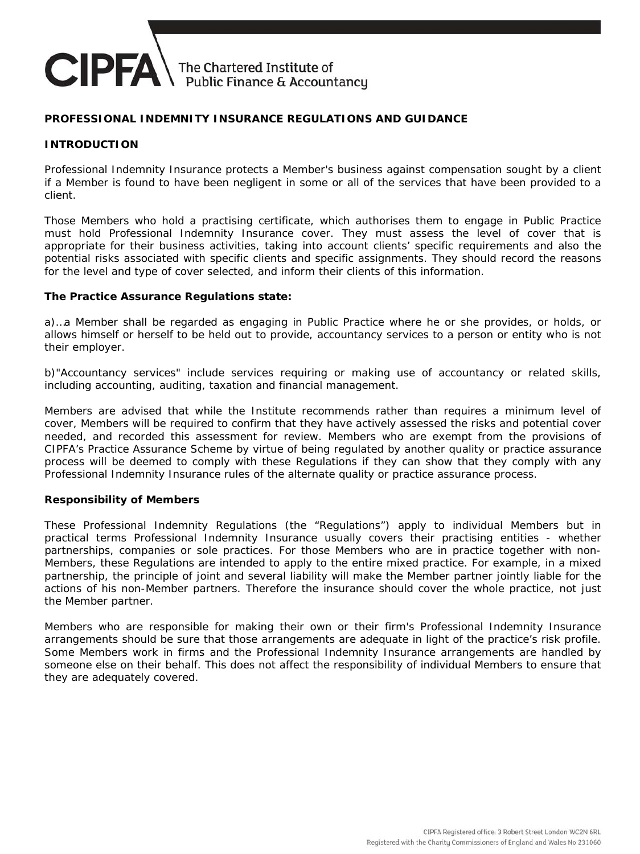

## **PROFESSIONAL INDEMNITY INSURANCE REGULATIONS AND GUIDANCE**

#### **INTRODUCTION**

Professional Indemnity Insurance protects a Member's business against compensation sought by a client if a Member is found to have been negligent in some or all of the services that have been provided to a client.

Those Members who hold a practising certificate, which authorises them to engage in Public Practice must hold Professional Indemnity Insurance cover. They must assess the level of cover that is appropriate for their business activities, taking into account clients' specific requirements and also the potential risks associated with specific clients and specific assignments. They should record the reasons for the level and type of cover selected, and inform their clients of this information.

#### **The Practice Assurance Regulations state:**

*a)…a Member shall be regarded as engaging in Public Practice where he or she provides, or holds, or allows himself or herself to be held out to provide, accountancy services to a person or entity who is not their employer.* 

*b)"Accountancy services" include services requiring or making use of accountancy or related skills, including accounting, auditing, taxation and financial management.* 

Members are advised that while the Institute recommends rather than requires a minimum level of cover, Members will be required to confirm that they have actively assessed the risks and potential cover needed, and recorded this assessment for review. Members who are exempt from the provisions of CIPFA's Practice Assurance Scheme by virtue of being regulated by another quality or practice assurance process will be deemed to comply with these Regulations if they can show that they comply with any Professional Indemnity Insurance rules of the alternate quality or practice assurance process.

#### **Responsibility of Members**

These Professional Indemnity Regulations (the "Regulations") apply to individual Members but in practical terms Professional Indemnity Insurance usually covers their practising entities - whether partnerships, companies or sole practices. For those Members who are in practice together with non-Members, these Regulations are intended to apply to the entire mixed practice. For example, in a mixed partnership, the principle of joint and several liability will make the Member partner jointly liable for the actions of his non-Member partners. Therefore the insurance should cover the whole practice, not just the Member partner.

Members who are responsible for making their own or their firm's Professional Indemnity Insurance arrangements should be sure that those arrangements are adequate in light of the practice's risk profile. Some Members work in firms and the Professional Indemnity Insurance arrangements are handled by someone else on their behalf. This does not affect the responsibility of individual Members to ensure that they are adequately covered.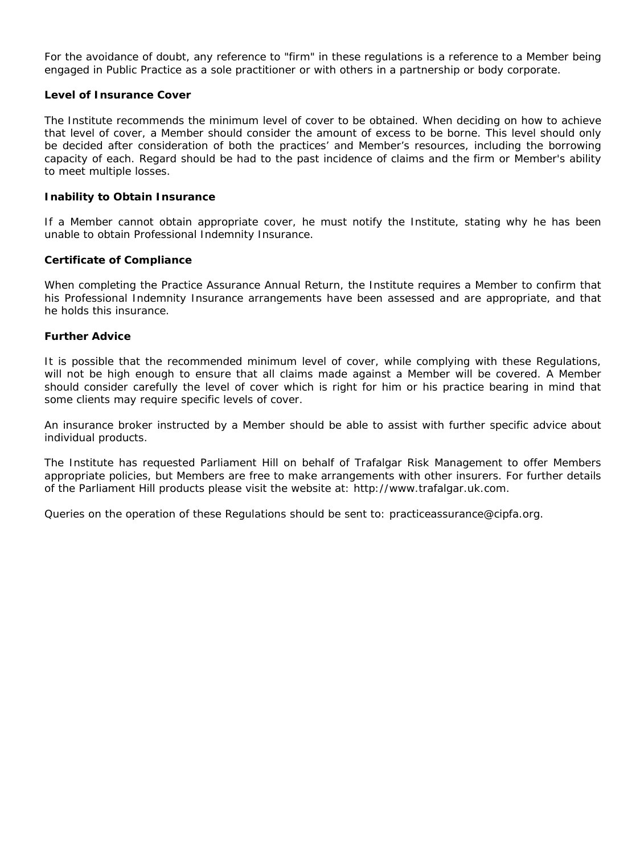For the avoidance of doubt, any reference to "firm" in these regulations is a reference to a Member being engaged in Public Practice as a sole practitioner or with others in a partnership or body corporate.

#### **Level of Insurance Cover**

The Institute recommends the minimum level of cover to be obtained. When deciding on how to achieve that level of cover, a Member should consider the amount of excess to be borne. This level should only be decided after consideration of both the practices' and Member's resources, including the borrowing capacity of each. Regard should be had to the past incidence of claims and the firm or Member's ability to meet multiple losses.

## **Inability to Obtain Insurance**

If a Member cannot obtain appropriate cover, he must notify the Institute, stating why he has been unable to obtain Professional Indemnity Insurance.

## **Certificate of Compliance**

When completing the Practice Assurance Annual Return, the Institute requires a Member to confirm that his Professional Indemnity Insurance arrangements have been assessed and are appropriate, and that he holds this insurance.

## **Further Advice**

It is possible that the recommended minimum level of cover, while complying with these Regulations, will not be high enough to ensure that all claims made against a Member will be covered. A Member should consider carefully the level of cover which is right for him or his practice bearing in mind that some clients may require specific levels of cover.

An insurance broker instructed by a Member should be able to assist with further specific advice about individual products.

The Institute has requested Parliament Hill on behalf of Trafalgar Risk Management to offer Members appropriate policies, but Members are free to make arrangements with other insurers. For further details of the Parliament Hill products please visit the website at: http://www.trafalgar.uk.com.

Queries on the operation of these Regulations should be sent to: practiceassurance@cipfa.org.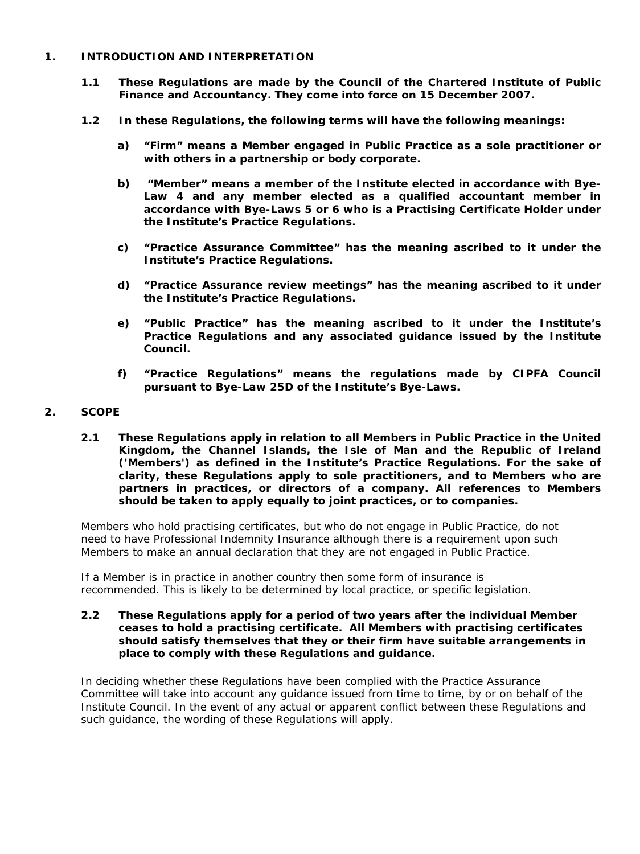## **1. INTRODUCTION AND INTERPRETATION**

- **1.1 These Regulations are made by the Council of the Chartered Institute of Public Finance and Accountancy. They come into force on 15 December 2007.**
- **1.2 In these Regulations, the following terms will have the following meanings:** 
	- **a) "Firm" means a Member engaged in Public Practice as a sole practitioner or with others in a partnership or body corporate.**
	- **b) "Member" means a member of the Institute elected in accordance with Bye-Law 4 and any member elected as a qualified accountant member in accordance with Bye-Laws 5 or 6 who is a Practising Certificate Holder under the Institute's Practice Regulations.**
	- **c) "Practice Assurance Committee" has the meaning ascribed to it under the Institute's Practice Regulations.**
	- **d) "Practice Assurance review meetings" has the meaning ascribed to it under the Institute's Practice Regulations.**
	- **e) "Public Practice" has the meaning ascribed to it under the Institute's Practice Regulations and any associated guidance issued by the Institute Council.**
	- **f) "Practice Regulations" means the regulations made by CIPFA Council pursuant to Bye-Law 25D of the Institute's Bye-Laws.**

# **2. SCOPE**

**2.1 These Regulations apply in relation to all Members in Public Practice in the United Kingdom, the Channel Islands, the Isle of Man and the Republic of Ireland ('Members') as defined in the Institute's Practice Regulations. For the sake of clarity, these Regulations apply to sole practitioners, and to Members who are partners in practices, or directors of a company. All references to Members should be taken to apply equally to joint practices, or to companies.** 

 Members who hold practising certificates, but who do not engage in Public Practice, do not need to have Professional Indemnity Insurance although there is a requirement upon such Members to make an annual declaration that they are not engaged in Public Practice.

 If a Member is in practice in another country then some form of insurance is recommended. This is likely to be determined by local practice, or specific legislation.

**2.2 These Regulations apply for a period of two years after the individual Member ceases to hold a practising certificate. All Members with practising certificates should satisfy themselves that they or their firm have suitable arrangements in place to comply with these Regulations and guidance.** 

In deciding whether these Regulations have been complied with the Practice Assurance Committee will take into account any guidance issued from time to time, by or on behalf of the Institute Council. In the event of any actual or apparent conflict between these Regulations and such guidance, the wording of these Regulations will apply.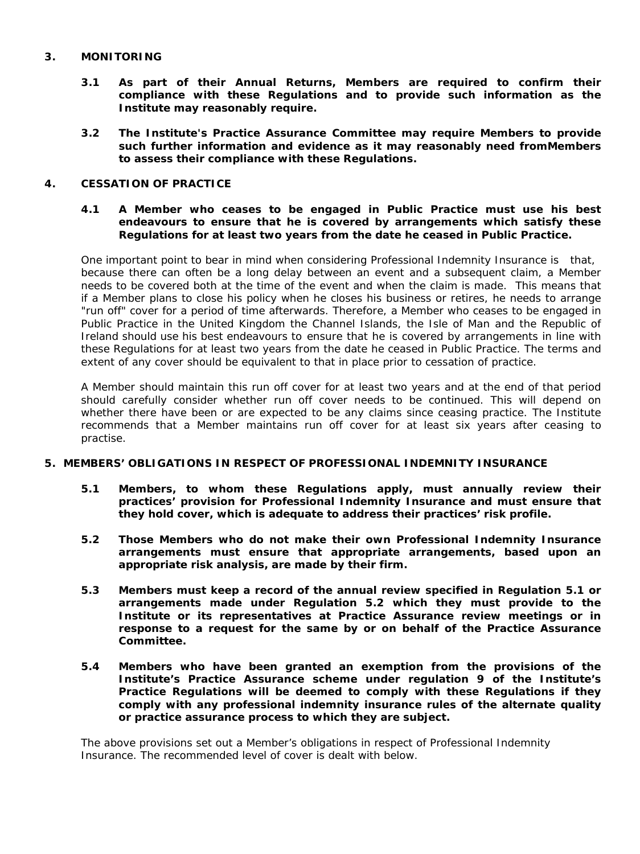## **3. MONITORING**

- **3.1 As part of their Annual Returns, Members are required to confirm their compliance with these Regulations and to provide such information as the Institute may reasonably require.**
- **3.2 The Institute's Practice Assurance Committee may require Members to provide such further information and evidence as it may reasonably need fromMembers to assess their compliance with these Regulations.**

# **4. CESSATION OF PRACTICE**

## **4.1 A Member who ceases to be engaged in Public Practice must use his best endeavours to ensure that he is covered by arrangements which satisfy these Regulations for at least two years from the date he ceased in Public Practice.**

One important point to bear in mind when considering Professional Indemnity Insurance is that, because there can often be a long delay between an event and a subsequent claim, a Member needs to be covered both at the time of the event and when the claim is made. This means that if a Member plans to close his policy when he closes his business or retires, he needs to arrange "run off" cover for a period of time afterwards. Therefore, a Member who ceases to be engaged in Public Practice in the United Kingdom the Channel Islands, the Isle of Man and the Republic of Ireland should use his best endeavours to ensure that he is covered by arrangements in line with these Regulations for at least two years from the date he ceased in Public Practice. The terms and extent of any cover should be equivalent to that in place prior to cessation of practice.

A Member should maintain this run off cover for at least two years and at the end of that period should carefully consider whether run off cover needs to be continued. This will depend on whether there have been or are expected to be any claims since ceasing practice. The Institute recommends that a Member maintains run off cover for at least six years after ceasing to practise.

#### **5. MEMBERS' OBLIGATIONS IN RESPECT OF PROFESSIONAL INDEMNITY INSURANCE**

- **5.1 Members, to whom these Regulations apply, must annually review their practices' provision for Professional Indemnity Insurance and must ensure that they hold cover, which is adequate to address their practices' risk profile.**
- **5.2 Those Members who do not make their own Professional Indemnity Insurance arrangements must ensure that appropriate arrangements, based upon an appropriate risk analysis, are made by their firm.**
- **5.3 Members must keep a record of the annual review specified in Regulation 5.1 or arrangements made under Regulation 5.2 which they must provide to the Institute or its representatives at Practice Assurance review meetings or in response to a request for the same by or on behalf of the Practice Assurance Committee.**
- **5.4 Members who have been granted an exemption from the provisions of the Institute's Practice Assurance scheme under regulation 9 of the Institute's Practice Regulations will be deemed to comply with these Regulations if they comply with any professional indemnity insurance rules of the alternate quality or practice assurance process to which they are subject.**

 The above provisions set out a Member's obligations in respect of Professional Indemnity Insurance. The recommended level of cover is dealt with below.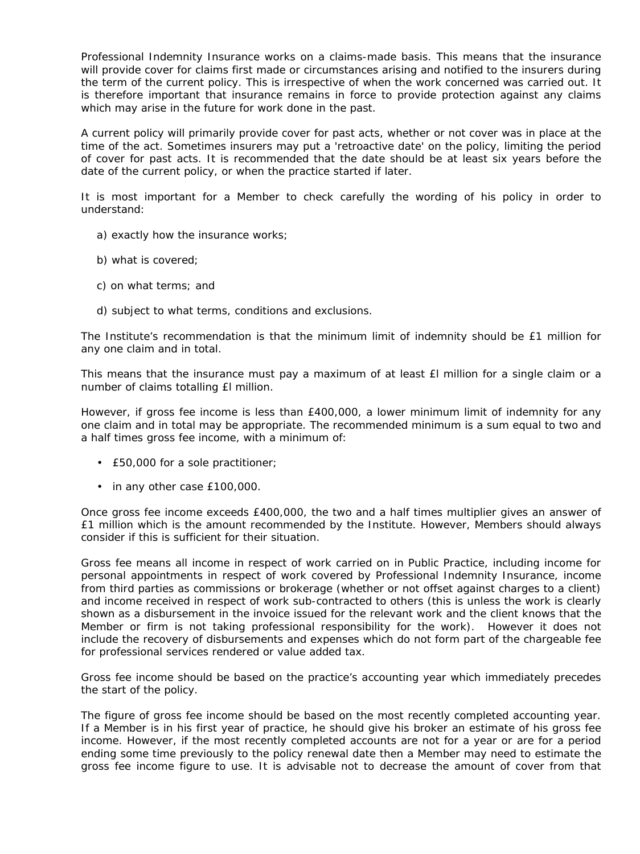Professional Indemnity Insurance works on a claims-made basis. This means that the insurance will provide cover for claims first made or circumstances arising and notified to the insurers during the term of the current policy. This is irrespective of when the work concerned was carried out. It is therefore important that insurance remains in force to provide protection against any claims which may arise in the future for work done in the past.

A current policy will primarily provide cover for past acts, whether or not cover was in place at the time of the act. Sometimes insurers may put a 'retroactive date' on the policy, limiting the period of cover for past acts. It is recommended that the date should be at least six years before the date of the current policy, or when the practice started if later.

It is most important for a Member to check carefully the wording of his policy in order to understand:

- a) exactly how the insurance works;
- b) what is covered;
- c) on what terms; and
- d) subject to what terms, conditions and exclusions.

The Institute's recommendation is that the minimum limit of indemnity should be £1 million for any one claim and in total.

This means that the insurance must pay a maximum of at least £l million for a single claim or a number of claims totalling £l million.

However, if gross fee income is less than £400,000, a lower minimum limit of indemnity for any one claim and in total may be appropriate. The recommended minimum is a sum equal to two and a half times gross fee income, with a minimum of:

- £50,000 for a sole practitioner;
- in any other case £100,000.

Once gross fee income exceeds £400,000, the two and a half times multiplier gives an answer of £1 million which is the amount recommended by the Institute. However, Members should always consider if this is sufficient for their situation.

Gross fee means all income in respect of work carried on in Public Practice, including income for personal appointments in respect of work covered by Professional Indemnity Insurance, income from third parties as commissions or brokerage (whether or not offset against charges to a client) and income received in respect of work sub-contracted to others (this is unless the work is clearly shown as a disbursement in the invoice issued for the relevant work and the client knows that the Member or firm is not taking professional responsibility for the work). However it does not include the recovery of disbursements and expenses which do not form part of the chargeable fee for professional services rendered or value added tax.

Gross fee income should be based on the practice's accounting year which immediately precedes the start of the policy.

The figure of gross fee income should be based on the most recently completed accounting year. If a Member is in his first year of practice, he should give his broker an estimate of his gross fee income. However, if the most recently completed accounts are not for a year or are for a period ending some time previously to the policy renewal date then a Member may need to estimate the gross fee income figure to use. It is advisable not to decrease the amount of cover from that